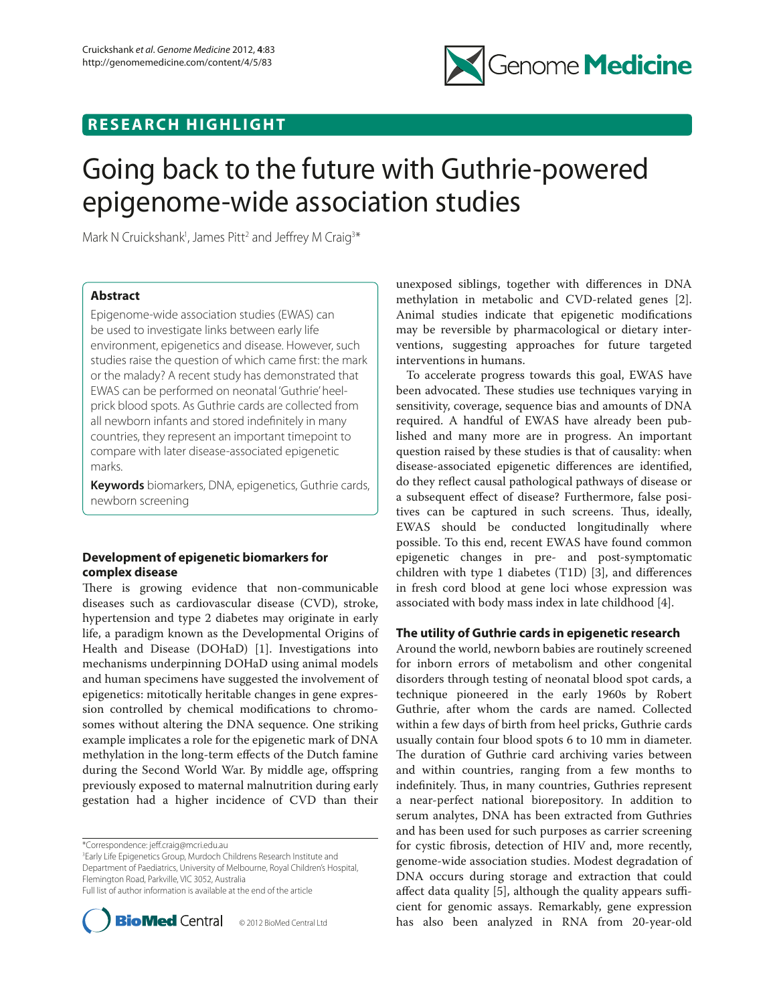

## **RESEARCH HIGHLIGHT**

# Going back to the future with Guthrie-powered epigenome-wide association studies

Mark N Cruickshank<sup>1</sup>, James Pitt<sup>2</sup> and Jeffrey M Craig<sup>3\*</sup>

## **Abstract**

Epigenome-wide association studies (EWAS) can be used to investigate links between early life environment, epigenetics and disease. However, such studies raise the question of which came first: the mark or the malady? A recent study has demonstrated that EWAS can be performed on neonatal 'Guthrie' heelprick blood spots. As Guthrie cards are collected from all newborn infants and stored indefinitely in many countries, they represent an important timepoint to compare with later disease-associated epigenetic marks.

**Keywords** biomarkers, DNA, epigenetics, Guthrie cards, newborn screening

## **Development of epigenetic biomarkers for complex disease**

There is growing evidence that non-communicable diseases such as cardiovascular disease (CVD), stroke, hypertension and type 2 diabetes may originate in early life, a paradigm known as the Developmental Origins of Health and Disease (DOHaD) [1]. Investigations into mechanisms underpinning DOHaD using animal models and human specimens have suggested the involvement of epigenetics: mitotically heritable changes in gene expression controlled by chemical modifications to chromosomes without altering the DNA sequence. One striking example implicates a role for the epigenetic mark of DNA methylation in the long-term effects of the Dutch famine during the Second World War. By middle age, offspring previously exposed to maternal malnutrition during early gestation had a higher incidence of CVD than their

\*Correspondence: jeff .craig@mcri.edu.au

3 Early Life Epigenetics Group, Murdoch Childrens Research Institute and Department of Paediatrics, University of Melbourne, Royal Children's Hospital, Flemington Road, Parkville, VIC 3052, Australia Full list of author information is available at the end of the article



unexposed siblings, together with differences in DNA methylation in metabolic and CVD-related genes [2]. Animal studies indicate that epigenetic modifications may be reversible by pharmacological or dietary interventions, suggesting approaches for future targeted interventions in humans.

To accelerate progress towards this goal, EWAS have been advocated. These studies use techniques varying in sensitivity, coverage, sequence bias and amounts of DNA required. A handful of EWAS have already been published and many more are in progress. An important question raised by these studies is that of causality: when disease-associated epigenetic differences are identified, do they reflect causal pathological pathways of disease or a subsequent effect of disease? Furthermore, false positives can be captured in such screens. Thus, ideally, EWAS should be conducted longitudinally where possible. To this end, recent EWAS have found common epigenetic changes in pre- and post-symptomatic children with type 1 diabetes (T1D) [3], and differences in fresh cord blood at gene loci whose expression was associated with body mass index in late childhood [4].

## **The utility of Guthrie cards in epigenetic research**

Around the world, newborn babies are routinely screened for inborn errors of metabolism and other congenital disorders through testing of neonatal blood spot cards, a technique pioneered in the early 1960s by Robert Guthrie, after whom the cards are named. Collected within a few days of birth from heel pricks, Guthrie cards usually contain four blood spots 6 to 10 mm in diameter. The duration of Guthrie card archiving varies between and within countries, ranging from a few months to indefinitely. Thus, in many countries, Guthries represent a near-perfect national biorepository. In addition to serum analytes, DNA has been extracted from Guthries and has been used for such purposes as carrier screening for cystic fibrosis, detection of HIV and, more recently, genome-wide association studies. Modest degradation of DNA occurs during storage and extraction that could affect data quality  $[5]$ , although the quality appears sufficient for genomic assays. Remarkably, gene expression has also been analyzed in RNA from 20-year-old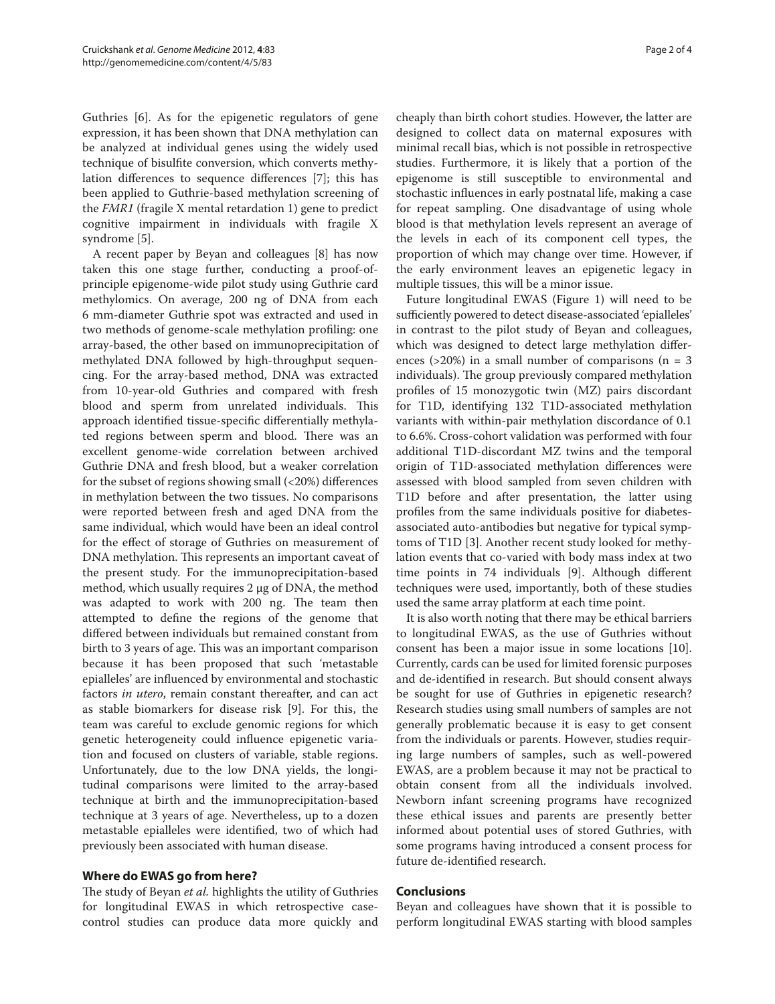Guthries [6]. As for the epigenetic regulators of gene expression, it has been shown that DNA methylation can be analyzed at individual genes using the widely used technique of bisulfite conversion, which converts methylation differences to sequence differences [7]; this has been applied to Guthrie-based methylation screening of the *FMR1* (fragile X mental retardation 1) gene to predict cognitive impairment in individuals with fragile X syndrome [5].

A recent paper by Beyan and colleagues [8] has now taken this one stage further, conducting a proof-ofprinciple epigenome-wide pilot study using Guthrie card methylomics. On average, 200 ng of DNA from each 6 mm-diameter Guthrie spot was extracted and used in two methods of genome-scale methylation profiling: one array-based, the other based on immunoprecipitation of methylated DNA followed by high-throughput sequencing. For the array-based method, DNA was extracted from 10-year-old Guthries and compared with fresh blood and sperm from unrelated individuals. This approach identified tissue-specific differentially methylated regions between sperm and blood. There was an excellent genome-wide correlation between archived Guthrie DNA and fresh blood, but a weaker correlation for the subset of regions showing small (<20%) differences in methylation between the two tissues. No comparisons were reported between fresh and aged DNA from the same individual, which would have been an ideal control for the effect of storage of Guthries on measurement of DNA methylation. This represents an important caveat of the present study. For the immunoprecipitation-based method, which usually requires 2 µg of DNA, the method was adapted to work with 200 ng. The team then attempted to define the regions of the genome that differed between individuals but remained constant from birth to 3 years of age. This was an important comparison because it has been proposed that such 'metastable epialleles' are influenced by environmental and stochastic factors *in utero*, remain constant thereafter, and can act as stable biomarkers for disease risk [9]. For this, the team was careful to exclude genomic regions for which genetic heterogeneity could influence epigenetic variation and focused on clusters of variable, stable regions. Unfortunately, due to the low DNA yields, the longitudinal comparisons were limited to the array-based technique at birth and the immunoprecipitation-based technique at 3 years of age. Nevertheless, up to a dozen metastable epialleles were identified, two of which had previously been associated with human disease.

## **Where do EWAS go from here?**

The study of Beyan *et al.* highlights the utility of Guthries for longitudinal EWAS in which retrospective casecontrol studies can produce data more quickly and cheaply than birth cohort studies. However, the latter are designed to collect data on maternal exposures with minimal recall bias, which is not possible in retrospective studies. Furthermore, it is likely that a portion of the epigenome is still susceptible to environmental and stochastic influences in early postnatal life, making a case for repeat sampling. One disadvantage of using whole blood is that methylation levels represent an average of the levels in each of its component cell types, the proportion of which may change over time. However, if the early environment leaves an epigenetic legacy in multiple tissues, this will be a minor issue.

Future longitudinal EWAS (Figure 1) will need to be sufficiently powered to detect disease-associated 'epialleles' in contrast to the pilot study of Beyan and colleagues, which was designed to detect large methylation differences ( $>20\%$ ) in a small number of comparisons (n = 3 individuals). The group previously compared methylation profiles of 15 monozygotic twin (MZ) pairs discordant for T1D, identifying 132 T1D-associated methylation variants with within-pair methylation discordance of 0.1 to 6.6%. Cross-cohort validation was performed with four additional T1D-discordant MZ twins and the temporal origin of T1D-associated methylation differences were assessed with blood sampled from seven children with T1D before and after presentation, the latter using profiles from the same individuals positive for diabetesassociated auto-antibodies but negative for typical symptoms of T1D [3]. Another recent study looked for methylation events that co-varied with body mass index at two time points in 74 individuals [9]. Although different techniques were used, importantly, both of these studies used the same array platform at each time point.

It is also worth noting that there may be ethical barriers to longitudinal EWAS, as the use of Guthries without consent has been a major issue in some locations [10]. Currently, cards can be used for limited forensic purposes and de-identified in research. But should consent always be sought for use of Guthries in epigenetic research? Research studies using small numbers of samples are not generally problematic because it is easy to get consent from the individuals or parents. However, studies requiring large numbers of samples, such as well-powered EWAS, are a problem because it may not be practical to obtain consent from all the individuals involved. Newborn infant screening programs have recognized these ethical issues and parents are presently better informed about potential uses of stored Guthries, with some programs having introduced a consent process for future de-identified research.

## **Conclusions**

Beyan and colleagues have shown that it is possible to perform longitudinal EWAS starting with blood samples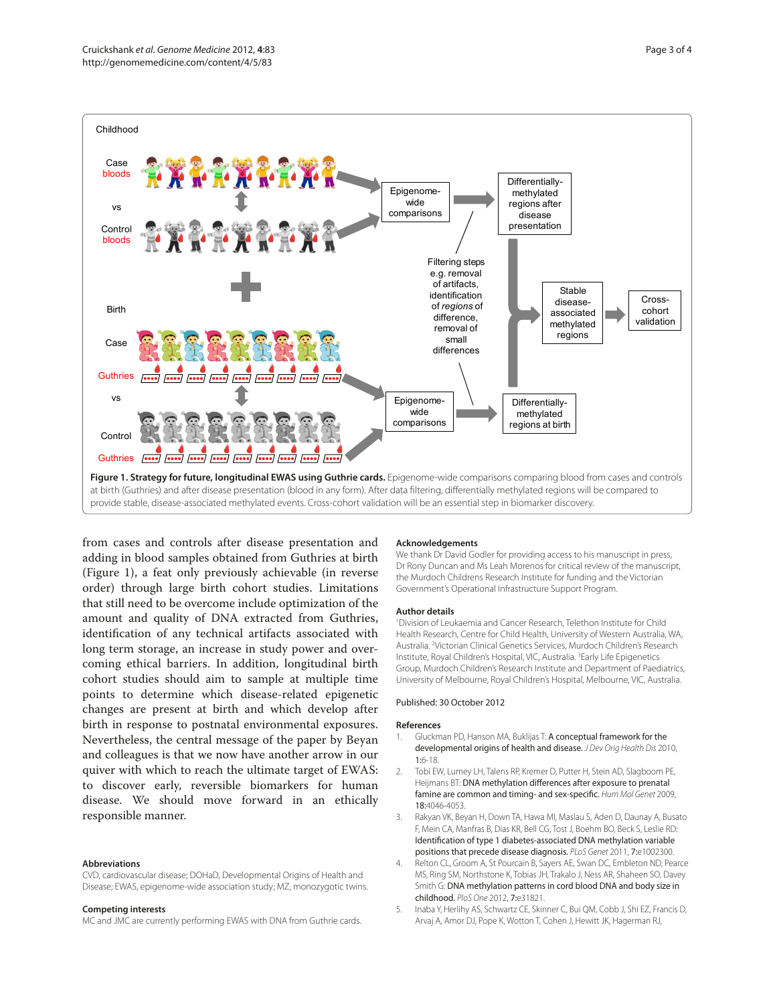

from cases and controls after disease presentation and adding in blood samples obtained from Guthries at birth (Figure 1), a feat only previously achievable (in reverse order) through large birth cohort studies. Limitations that still need to be overcome include optimization of the amount and quality of DNA extracted from Guthries, identification of any technical artifacts associated with long term storage, an increase in study power and overcoming ethical barriers. In addition, longitudinal birth cohort studies should aim to sample at multiple time points to determine which disease-related epigenetic changes are present at birth and which develop after birth in response to postnatal environmental exposures. Nevertheless, the central message of the paper by Beyan and colleagues is that we now have another arrow in our quiver with which to reach the ultimate target of EWAS: to discover early, reversible biomarkers for human disease. We should move forward in an ethically responsible manner.

#### **Abbreviations**

CVD, cardiovascular disease; DOHaD, Developmental Origins of Health and Disease; EWAS, epigenome-wide association study; MZ, monozygotic twins.

#### **Competing interests**

MC and JMC are currently performing EWAS with DNA from Guthrie cards.

#### **Acknowledgements**

We thank Dr David Godler for providing access to his manuscript in press, Dr Rony Duncan and Ms Leah Morenos for critical review of the manuscript, the Murdoch Childrens Research Institute for funding and the Victorian Government's Operational Infrastructure Support Program.

#### **Author details**

1 Division of Leukaemia and Cancer Research, Telethon Institute for Child Health Research, Centre for Child Health, University of Western Australia, WA, Australia. 2 Victorian Clinical Genetics Services, Murdoch Children's Research Institute, Royal Children's Hospital, VIC, Australia. 3 Early Life Epigenetics Group, Murdoch Children's Research Institute and Department of Paediatrics, University of Melbourne, Royal Children's Hospital, Melbourne, VIC, Australia.

#### Published: 30 October 2012

#### **References**

- 1. Gluckman PD, Hanson MA, Buklijas T: A conceptual framework for the developmental origins of health and disease. *J Dev Orig Health Dis* 2010, 1:6-18.
- 2. Tobi EW, Lumey LH, Talens RP, Kremer D, Putter H, Stein AD, Slagboom PE, Heijmans BT: DNA methylation differences after exposure to prenatal famine are common and timing- and sex-specific. *Hum Mol Genet* 2009, 18:4046-4053.
- 3. Rakyan VK, Beyan H, Down TA, Hawa MI, Maslau S, Aden D, Daunay A, Busato F, Mein CA, Manfras B, Dias KR, Bell CG, Tost J, Boehm BO, Beck S, Leslie RD: Identification of type 1 diabetes-associated DNA methylation variable positions that precede disease diagnosis. *PLoS Genet* 2011, 7:e1002300.
- Relton CL, Groom A, St Pourcain B, Sayers AE, Swan DC, Embleton ND, Pearce MS, Ring SM, Northstone K, Tobias JH, Trakalo J, Ness AR, Shaheen SO, Davey Smith G: DNA methylation patterns in cord blood DNA and body size in childhood. *PloS One* 2012, 7:e31821.
- 5. Inaba Y, Herlihy AS, Schwartz CE, Skinner C, Bui QM, Cobb J, Shi EZ, Francis D, Arvaj A, Amor DJ, Pope K, Wotton T, Cohen J, Hewitt JK, Hagerman RJ,